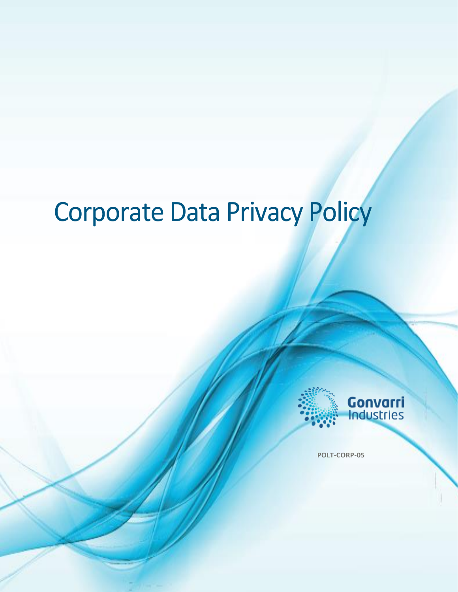# Corporate Data Privacy Policy



**POLT-CORP-05**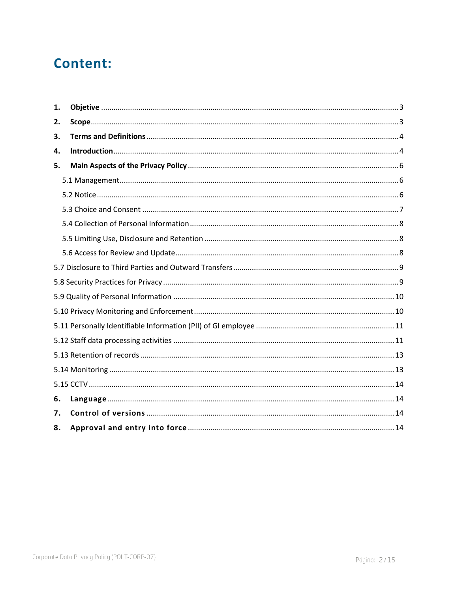## **Content:**

| 1. |  |  |  |  |
|----|--|--|--|--|
| 2. |  |  |  |  |
| З. |  |  |  |  |
| 4. |  |  |  |  |
| 5. |  |  |  |  |
|    |  |  |  |  |
|    |  |  |  |  |
|    |  |  |  |  |
|    |  |  |  |  |
|    |  |  |  |  |
|    |  |  |  |  |
|    |  |  |  |  |
|    |  |  |  |  |
|    |  |  |  |  |
|    |  |  |  |  |
|    |  |  |  |  |
|    |  |  |  |  |
|    |  |  |  |  |
|    |  |  |  |  |
|    |  |  |  |  |
| 6. |  |  |  |  |
| 7. |  |  |  |  |
| 8. |  |  |  |  |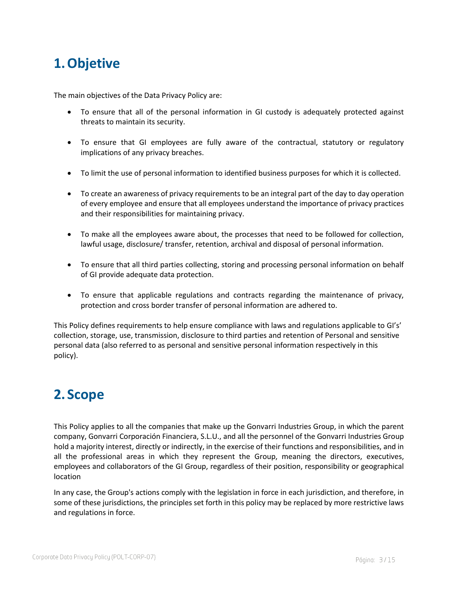## <span id="page-2-0"></span>**1.Objetive**

The main objectives of the Data Privacy Policy are:

- To ensure that all of the personal information in GI custody is adequately protected against threats to maintain its security.
- To ensure that GI employees are fully aware of the contractual, statutory or regulatory implications of any privacy breaches.
- To limit the use of personal information to identified business purposes for which it is collected.
- To create an awareness of privacy requirements to be an integral part of the day to day operation of every employee and ensure that all employees understand the importance of privacy practices and their responsibilities for maintaining privacy.
- To make all the employees aware about, the processes that need to be followed for collection, lawful usage, disclosure/ transfer, retention, archival and disposal of personal information.
- To ensure that all third parties collecting, storing and processing personal information on behalf of GI provide adequate data protection.
- To ensure that applicable regulations and contracts regarding the maintenance of privacy, protection and cross border transfer of personal information are adhered to.

This Policy defines requirements to help ensure compliance with laws and regulations applicable to GI's' collection, storage, use, transmission, disclosure to third parties and retention of Personal and sensitive personal data (also referred to as personal and sensitive personal information respectively in this policy).

## <span id="page-2-1"></span>**2. Scope**

This Policy applies to all the companies that make up the Gonvarri Industries Group, in which the parent company, Gonvarri Corporación Financiera, S.L.U., and all the personnel of the Gonvarri Industries Group hold a majority interest, directly or indirectly, in the exercise of their functions and responsibilities, and in all the professional areas in which they represent the Group, meaning the directors, executives, employees and collaborators of the GI Group, regardless of their position, responsibility or geographical location

In any case, the Group's actions comply with the legislation in force in each jurisdiction, and therefore, in some of these jurisdictions, the principles set forth in this policy may be replaced by more restrictive laws and regulations in force.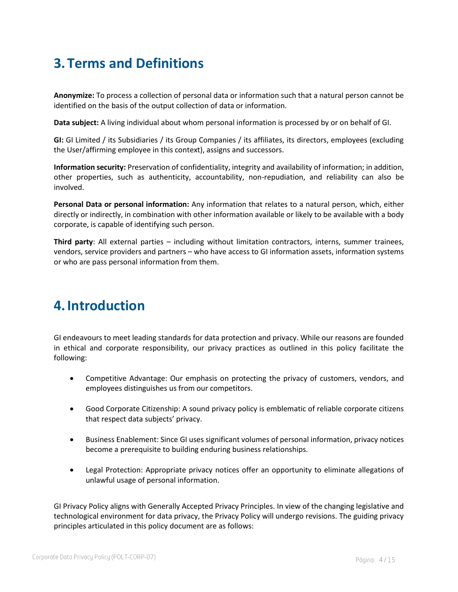## <span id="page-3-0"></span>**3.Terms and Definitions**

**Anonymize:** To process a collection of personal data or information such that a natural person cannot be identified on the basis of the output collection of data or information.

**Data subject:** A living individual about whom personal information is processed by or on behalf of GI.

**GI:** GI Limited / its Subsidiaries / its Group Companies / its affiliates, its directors, employees (excluding the User/affirming employee in this context), assigns and successors.

**Information security:** Preservation of confidentiality, integrity and availability of information; in addition, other properties, such as authenticity, accountability, non-repudiation, and reliability can also be involved.

**Personal Data or personal information:** Any information that relates to a natural person, which, either directly or indirectly, in combination with other information available or likely to be available with a body corporate, is capable of identifying such person.

**Third party**: All external parties – including without limitation contractors, interns, summer trainees, vendors, service providers and partners – who have access to GI information assets, information systems or who are pass personal information from them.

## <span id="page-3-1"></span>**4.Introduction**

GI endeavours to meet leading standards for data protection and privacy. While our reasons are founded in ethical and corporate responsibility, our privacy practices as outlined in this policy facilitate the following:

- Competitive Advantage: Our emphasis on protecting the privacy of customers, vendors, and employees distinguishes us from our competitors.
- Good Corporate Citizenship: A sound privacy policy is emblematic of reliable corporate citizens that respect data subjects' privacy.
- Business Enablement: Since GI uses significant volumes of personal information, privacy notices become a prerequisite to building enduring business relationships.
- Legal Protection: Appropriate privacy notices offer an opportunity to eliminate allegations of unlawful usage of personal information.

GI Privacy Policy aligns with Generally Accepted Privacy Principles. In view of the changing legislative and technological environment for data privacy, the Privacy Policy will undergo revisions. The guiding privacy principles articulated in this policy document are as follows: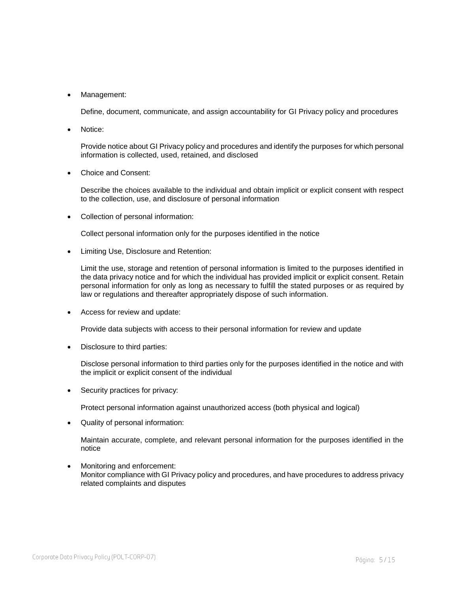• Management:

Define, document, communicate, and assign accountability for GI Privacy policy and procedures

Notice:

Provide notice about GI Privacy policy and procedures and identify the purposes for which personal information is collected, used, retained, and disclosed

• Choice and Consent:

Describe the choices available to the individual and obtain implicit or explicit consent with respect to the collection, use, and disclosure of personal information

• Collection of personal information:

Collect personal information only for the purposes identified in the notice

• Limiting Use, Disclosure and Retention:

Limit the use, storage and retention of personal information is limited to the purposes identified in the data privacy notice and for which the individual has provided implicit or explicit consent. Retain personal information for only as long as necessary to fulfill the stated purposes or as required by law or regulations and thereafter appropriately dispose of such information.

• Access for review and update:

Provide data subjects with access to their personal information for review and update

• Disclosure to third parties:

Disclose personal information to third parties only for the purposes identified in the notice and with the implicit or explicit consent of the individual

Security practices for privacy:

Protect personal information against unauthorized access (both physical and logical)

• Quality of personal information:

Maintain accurate, complete, and relevant personal information for the purposes identified in the notice

Monitoring and enforcement: Monitor compliance with GI Privacy policy and procedures, and have procedures to address privacy related complaints and disputes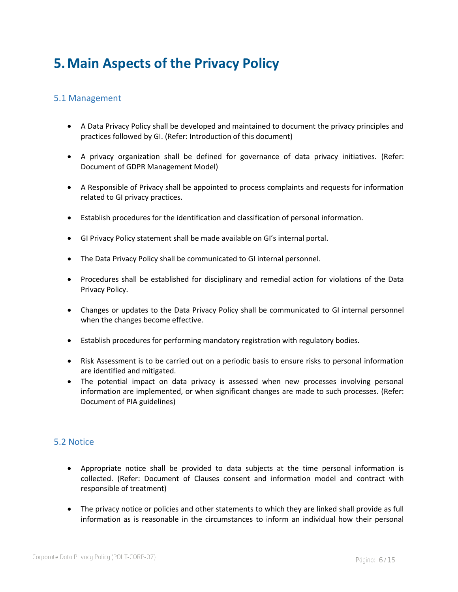## <span id="page-5-0"></span>**5.Main Aspects of the Privacy Policy**

#### <span id="page-5-1"></span>5.1 Management

- A Data Privacy Policy shall be developed and maintained to document the privacy principles and practices followed by GI. (Refer: Introduction of this document)
- A privacy organization shall be defined for governance of data privacy initiatives. (Refer: Document of GDPR Management Model)
- A Responsible of Privacy shall be appointed to process complaints and requests for information related to GI privacy practices.
- Establish procedures for the identification and classification of personal information.
- GI Privacy Policy statement shall be made available on GI's internal portal.
- The Data Privacy Policy shall be communicated to GI internal personnel.
- Procedures shall be established for disciplinary and remedial action for violations of the Data Privacy Policy.
- Changes or updates to the Data Privacy Policy shall be communicated to GI internal personnel when the changes become effective.
- Establish procedures for performing mandatory registration with regulatory bodies.
- Risk Assessment is to be carried out on a periodic basis to ensure risks to personal information are identified and mitigated.
- The potential impact on data privacy is assessed when new processes involving personal information are implemented, or when significant changes are made to such processes. (Refer: Document of PIA guidelines)

#### <span id="page-5-2"></span>5.2 Notice

- Appropriate notice shall be provided to data subjects at the time personal information is collected. (Refer: Document of Clauses consent and information model and contract with responsible of treatment)
- The privacy notice or policies and other statements to which they are linked shall provide as full information as is reasonable in the circumstances to inform an individual how their personal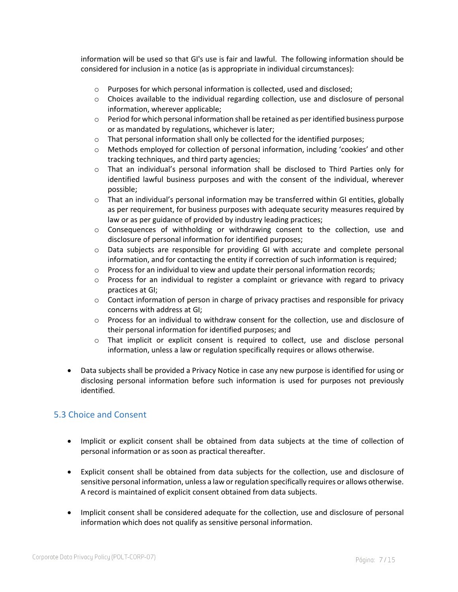information will be used so that GI's use is fair and lawful. The following information should be considered for inclusion in a notice (as is appropriate in individual circumstances):

- o Purposes for which personal information is collected, used and disclosed;
- $\circ$  Choices available to the individual regarding collection, use and disclosure of personal information, wherever applicable;
- $\circ$  Period for which personal information shall be retained as per identified business purpose or as mandated by regulations, whichever is later;
- o That personal information shall only be collected for the identified purposes;
- o Methods employed for collection of personal information, including 'cookies' and other tracking techniques, and third party agencies;
- $\circ$  That an individual's personal information shall be disclosed to Third Parties only for identified lawful business purposes and with the consent of the individual, wherever possible;
- $\circ$  That an individual's personal information may be transferred within GI entities, globally as per requirement, for business purposes with adequate security measures required by law or as per guidance of provided by industry leading practices;
- $\circ$  Consequences of withholding or withdrawing consent to the collection, use and disclosure of personal information for identified purposes;
- o Data subjects are responsible for providing GI with accurate and complete personal information, and for contacting the entity if correction of such information is required;
- $\circ$  Process for an individual to view and update their personal information records;
- $\circ$  Process for an individual to register a complaint or grievance with regard to privacy practices at GI;
- o Contact information of person in charge of privacy practises and responsible for privacy concerns with address at GI;
- $\circ$  Process for an individual to withdraw consent for the collection, use and disclosure of their personal information for identified purposes; and
- $\circ$  That implicit or explicit consent is required to collect, use and disclose personal information, unless a law or regulation specifically requires or allows otherwise.
- Data subjects shall be provided a Privacy Notice in case any new purpose is identified for using or disclosing personal information before such information is used for purposes not previously identified.

#### <span id="page-6-0"></span>5.3 Choice and Consent

- Implicit or explicit consent shall be obtained from data subjects at the time of collection of personal information or as soon as practical thereafter.
- Explicit consent shall be obtained from data subjects for the collection, use and disclosure of sensitive personal information, unless a law or regulation specifically requires or allows otherwise. A record is maintained of explicit consent obtained from data subjects.
- Implicit consent shall be considered adequate for the collection, use and disclosure of personal information which does not qualify as sensitive personal information.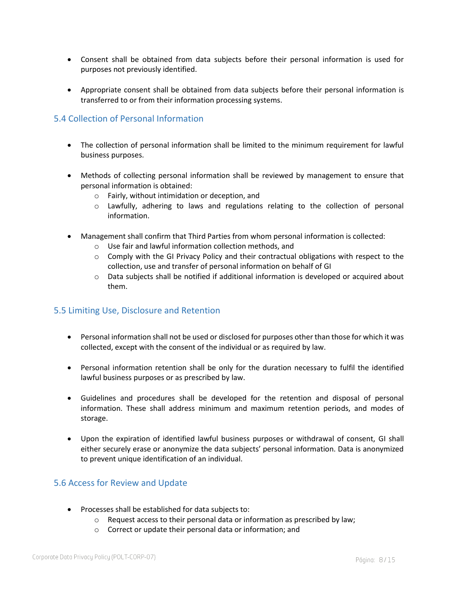- Consent shall be obtained from data subjects before their personal information is used for purposes not previously identified.
- Appropriate consent shall be obtained from data subjects before their personal information is transferred to or from their information processing systems.

#### <span id="page-7-0"></span>5.4 Collection of Personal Information

- The collection of personal information shall be limited to the minimum requirement for lawful business purposes.
- Methods of collecting personal information shall be reviewed by management to ensure that personal information is obtained:
	- o Fairly, without intimidation or deception, and
	- o Lawfully, adhering to laws and regulations relating to the collection of personal information.
- Management shall confirm that Third Parties from whom personal information is collected:
	- o Use fair and lawful information collection methods, and
	- $\circ$  Comply with the GI Privacy Policy and their contractual obligations with respect to the collection, use and transfer of personal information on behalf of GI
	- $\circ$  Data subjects shall be notified if additional information is developed or acquired about them.

#### <span id="page-7-1"></span>5.5 Limiting Use, Disclosure and Retention

- Personal information shall not be used or disclosed for purposes other than those for which it was collected, except with the consent of the individual or as required by law.
- Personal information retention shall be only for the duration necessary to fulfil the identified lawful business purposes or as prescribed by law.
- Guidelines and procedures shall be developed for the retention and disposal of personal information. These shall address minimum and maximum retention periods, and modes of storage.
- Upon the expiration of identified lawful business purposes or withdrawal of consent, GI shall either securely erase or anonymize the data subjects' personal information. Data is anonymized to prevent unique identification of an individual.

#### <span id="page-7-2"></span>5.6 Access for Review and Update

- Processes shall be established for data subjects to:
	- $\circ$  Request access to their personal data or information as prescribed by law;
	- o Correct or update their personal data or information; and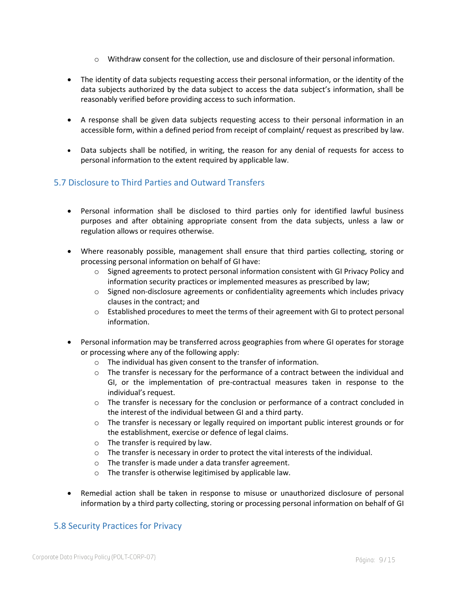- $\circ$  Withdraw consent for the collection, use and disclosure of their personal information.
- The identity of data subjects requesting access their personal information, or the identity of the data subjects authorized by the data subject to access the data subject's information, shall be reasonably verified before providing access to such information.
- A response shall be given data subjects requesting access to their personal information in an accessible form, within a defined period from receipt of complaint/ request as prescribed by law.
- Data subjects shall be notified, in writing, the reason for any denial of requests for access to personal information to the extent required by applicable law.

#### <span id="page-8-0"></span>5.7 Disclosure to Third Parties and Outward Transfers

- Personal information shall be disclosed to third parties only for identified lawful business purposes and after obtaining appropriate consent from the data subjects, unless a law or regulation allows or requires otherwise.
- Where reasonably possible, management shall ensure that third parties collecting, storing or processing personal information on behalf of GI have:
	- $\circ$  Signed agreements to protect personal information consistent with GI Privacy Policy and information security practices or implemented measures as prescribed by law;
	- $\circ$  Signed non-disclosure agreements or confidentiality agreements which includes privacy clauses in the contract; and
	- $\circ$  Established procedures to meet the terms of their agreement with GI to protect personal information.
- Personal information may be transferred across geographies from where GI operates for storage or processing where any of the following apply:
	- o The individual has given consent to the transfer of information.
	- $\circ$  The transfer is necessary for the performance of a contract between the individual and GI, or the implementation of pre-contractual measures taken in response to the individual's request.
	- $\circ$  The transfer is necessary for the conclusion or performance of a contract concluded in the interest of the individual between GI and a third party.
	- $\circ$  The transfer is necessary or legally required on important public interest grounds or for the establishment, exercise or defence of legal claims.
	- o The transfer is required by law.
	- o The transfer is necessary in order to protect the vital interests of the individual.
	- o The transfer is made under a data transfer agreement.
	- o The transfer is otherwise legitimised by applicable law.
- Remedial action shall be taken in response to misuse or unauthorized disclosure of personal information by a third party collecting, storing or processing personal information on behalf of GI

#### <span id="page-8-1"></span>5.8 Security Practices for Privacy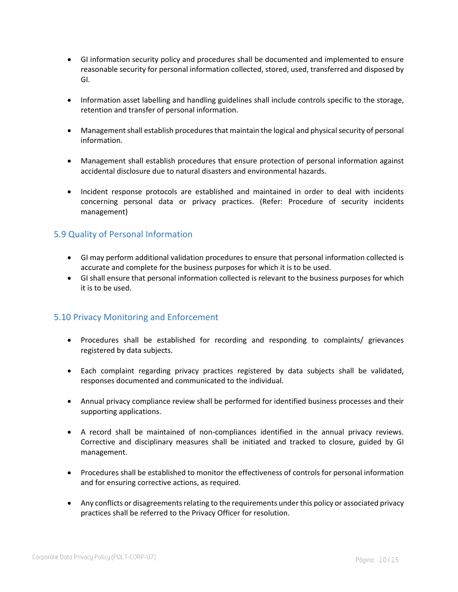- GI information security policy and procedures shall be documented and implemented to ensure reasonable security for personal information collected, stored, used, transferred and disposed by GI.
- Information asset labelling and handling guidelines shall include controls specific to the storage, retention and transfer of personal information.
- Management shall establish procedures that maintain the logical and physical security of personal information.
- Management shall establish procedures that ensure protection of personal information against accidental disclosure due to natural disasters and environmental hazards.
- Incident response protocols are established and maintained in order to deal with incidents concerning personal data or privacy practices. (Refer: Procedure of security incidents management)

#### <span id="page-9-0"></span>5.9 Quality of Personal Information

- GI may perform additional validation procedures to ensure that personal information collected is accurate and complete for the business purposes for which it is to be used.
- GI shall ensure that personal information collected is relevant to the business purposes for which it is to be used.

#### <span id="page-9-1"></span>5.10 Privacy Monitoring and Enforcement

- Procedures shall be established for recording and responding to complaints/ grievances registered by data subjects.
- Each complaint regarding privacy practices registered by data subjects shall be validated, responses documented and communicated to the individual.
- Annual privacy compliance review shall be performed for identified business processes and their supporting applications.
- A record shall be maintained of non-compliances identified in the annual privacy reviews. Corrective and disciplinary measures shall be initiated and tracked to closure, guided by GI management.
- Procedures shall be established to monitor the effectiveness of controls for personal information and for ensuring corrective actions, as required.
- Any conflicts or disagreements relating to the requirements under this policy or associated privacy practices shall be referred to the Privacy Officer for resolution.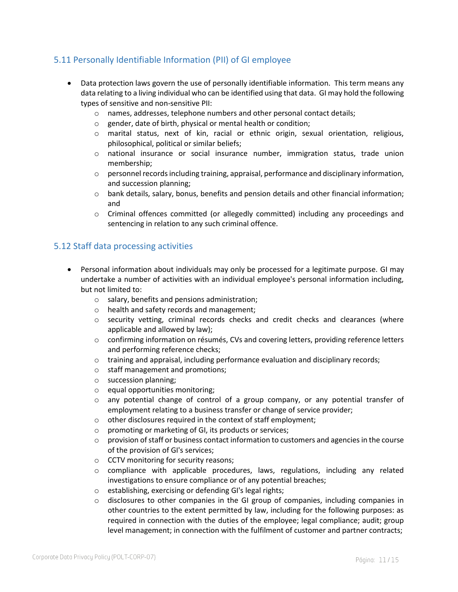### <span id="page-10-0"></span>5.11 Personally Identifiable Information (PII) of GI employee

- Data protection laws govern the use of personally identifiable information. This term means any data relating to a living individual who can be identified using that data. GI may hold the following types of sensitive and non-sensitive PII:
	- $\circ$  names, addresses, telephone numbers and other personal contact details;
	- o gender, date of birth, physical or mental health or condition;
	- o marital status, next of kin, racial or ethnic origin, sexual orientation, religious, philosophical, political or similar beliefs;
	- o national insurance or social insurance number, immigration status, trade union membership;
	- $\circ$  personnel records including training, appraisal, performance and disciplinary information, and succession planning;
	- o bank details, salary, bonus, benefits and pension details and other financial information; and
	- o Criminal offences committed (or allegedly committed) including any proceedings and sentencing in relation to any such criminal offence.

#### <span id="page-10-1"></span>5.12 Staff data processing activities

- Personal information about individuals may only be processed for a legitimate purpose. GI may undertake a number of activities with an individual employee's personal information including, but not limited to:
	- o salary, benefits and pensions administration;
	- o health and safety records and management;
	- $\circ$  security vetting, criminal records checks and credit checks and clearances (where applicable and allowed by law);
	- o confirming information on résumés, CVs and covering letters, providing reference letters and performing reference checks;
	- o training and appraisal, including performance evaluation and disciplinary records;
	- o staff management and promotions;
	- o succession planning;
	- o equal opportunities monitoring;
	- $\circ$  any potential change of control of a group company, or any potential transfer of employment relating to a business transfer or change of service provider;
	- o other disclosures required in the context of staff employment;
	- o promoting or marketing of GI, its products or services;
	- $\circ$  provision of staff or business contact information to customers and agencies in the course of the provision of GI's services;
	- o CCTV monitoring for security reasons;
	- $\circ$  compliance with applicable procedures, laws, regulations, including any related investigations to ensure compliance or of any potential breaches;
	- o establishing, exercising or defending GI's legal rights;
	- $\circ$  disclosures to other companies in the GI group of companies, including companies in other countries to the extent permitted by law, including for the following purposes: as required in connection with the duties of the employee; legal compliance; audit; group level management; in connection with the fulfilment of customer and partner contracts;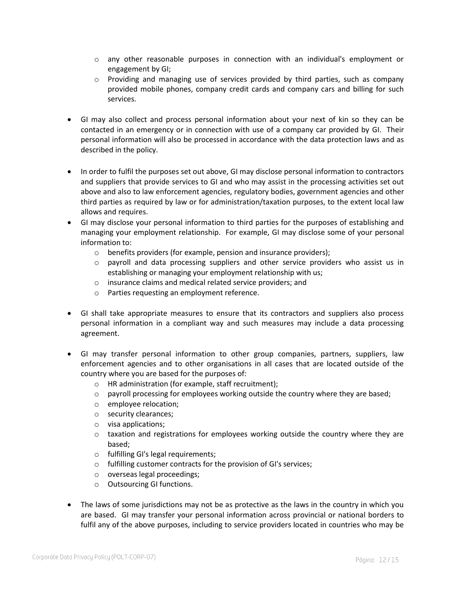- $\circ$  any other reasonable purposes in connection with an individual's employment or engagement by GI;
- $\circ$  Providing and managing use of services provided by third parties, such as company provided mobile phones, company credit cards and company cars and billing for such services.
- GI may also collect and process personal information about your next of kin so they can be contacted in an emergency or in connection with use of a company car provided by GI. Their personal information will also be processed in accordance with the data protection laws and as described in the policy.
- In order to fulfil the purposes set out above, GI may disclose personal information to contractors and suppliers that provide services to GI and who may assist in the processing activities set out above and also to law enforcement agencies, regulatory bodies, government agencies and other third parties as required by law or for administration/taxation purposes, to the extent local law allows and requires.
- GI may disclose your personal information to third parties for the purposes of establishing and managing your employment relationship. For example, GI may disclose some of your personal information to:
	- o benefits providers (for example, pension and insurance providers);
	- o payroll and data processing suppliers and other service providers who assist us in establishing or managing your employment relationship with us;
	- o insurance claims and medical related service providers; and
	- o Parties requesting an employment reference.
- GI shall take appropriate measures to ensure that its contractors and suppliers also process personal information in a compliant way and such measures may include a data processing agreement.
- GI may transfer personal information to other group companies, partners, suppliers, law enforcement agencies and to other organisations in all cases that are located outside of the country where you are based for the purposes of:
	- o HR administration (for example, staff recruitment);
	- $\circ$  payroll processing for employees working outside the country where they are based;
	- o employee relocation;
	- o security clearances;
	- o visa applications;
	- $\circ$  taxation and registrations for employees working outside the country where they are based;
	- o fulfilling GI's legal requirements;
	- o fulfilling customer contracts for the provision of GI's services;
	- o overseas legal proceedings;
	- o Outsourcing GI functions.
- The laws of some jurisdictions may not be as protective as the laws in the country in which you are based. GI may transfer your personal information across provincial or national borders to fulfil any of the above purposes, including to service providers located in countries who may be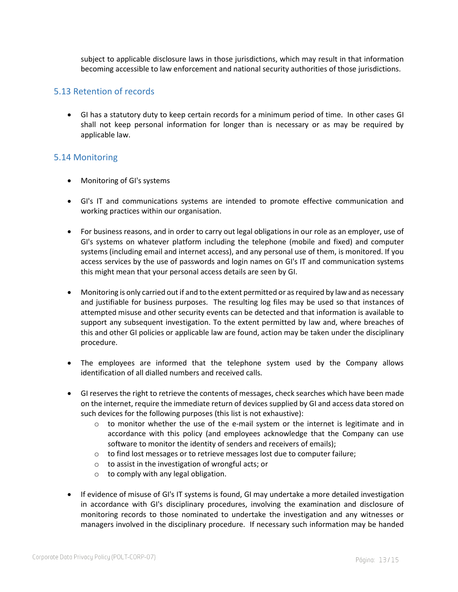subject to applicable disclosure laws in those jurisdictions, which may result in that information becoming accessible to law enforcement and national security authorities of those jurisdictions.

#### <span id="page-12-0"></span>5.13 Retention of records

• GI has a statutory duty to keep certain records for a minimum period of time. In other cases GI shall not keep personal information for longer than is necessary or as may be required by applicable law.

#### <span id="page-12-1"></span>5.14 Monitoring

- Monitoring of GI's systems
- GI's IT and communications systems are intended to promote effective communication and working practices within our organisation.
- For business reasons, and in order to carry out legal obligations in our role as an employer, use of GI's systems on whatever platform including the telephone (mobile and fixed) and computer systems (including email and internet access), and any personal use of them, is monitored. If you access services by the use of passwords and login names on GI's IT and communication systems this might mean that your personal access details are seen by GI.
- Monitoring is only carried out if and to the extent permitted or as required by law and as necessary and justifiable for business purposes. The resulting log files may be used so that instances of attempted misuse and other security events can be detected and that information is available to support any subsequent investigation. To the extent permitted by law and, where breaches of this and other GI policies or applicable law are found, action may be taken under the disciplinary procedure.
- The employees are informed that the telephone system used by the Company allows identification of all dialled numbers and received calls.
- GI reserves the right to retrieve the contents of messages, check searches which have been made on the internet, require the immediate return of devices supplied by GI and access data stored on such devices for the following purposes (this list is not exhaustive):
	- $\circ$  to monitor whether the use of the e-mail system or the internet is legitimate and in accordance with this policy (and employees acknowledge that the Company can use software to monitor the identity of senders and receivers of emails);
	- $\circ$  to find lost messages or to retrieve messages lost due to computer failure;
	- o to assist in the investigation of wrongful acts; or
	- $\circ$  to comply with any legal obligation.
- If evidence of misuse of GI's IT systems is found, GI may undertake a more detailed investigation in accordance with GI's disciplinary procedures, involving the examination and disclosure of monitoring records to those nominated to undertake the investigation and any witnesses or managers involved in the disciplinary procedure. If necessary such information may be handed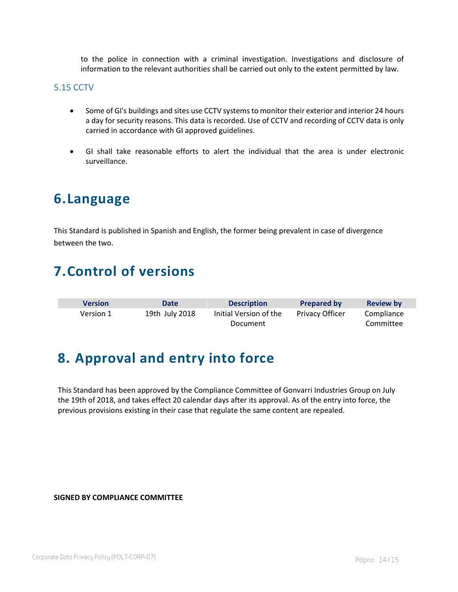to the police in connection with a criminal investigation. Investigations and disclosure of information to the relevant authorities shall be carried out only to the extent permitted by law.

#### <span id="page-13-0"></span>5.15 CCTV

- Some of GI's buildings and sites use CCTV systems to monitor their exterior and interior 24 hours a day for security reasons. This data is recorded. Use of CCTV and recording of CCTV data is only carried in accordance with GI approved guidelines.
- GI shall take reasonable efforts to alert the individual that the area is under electronic surveillance.

## <span id="page-13-1"></span>**6.Language**

This Standard is published in Spanish and English, the former being prevalent in case of divergence between the two.

## <span id="page-13-2"></span>**7.Control of versions**

| <b>Version</b> | Date           | <b>Description</b>     | <b>Prepared by</b>     | <b>Review by</b> |
|----------------|----------------|------------------------|------------------------|------------------|
| Version 1      | 19th July 2018 | Initial Version of the | <b>Privacy Officer</b> | Compliance       |
|                |                | Document               |                        | Committee        |

## <span id="page-13-3"></span>**8. Approval and entry into force**

This Standard has been approved by the Compliance Committee of Gonvarri Industries Group on July the 19th of 2018, and takes effect 20 calendar days after its approval. As of the entry into force, the previous provisions existing in their case that regulate the same content are repealed.

#### **SIGNED BY COMPLIANCE COMMITTEE**